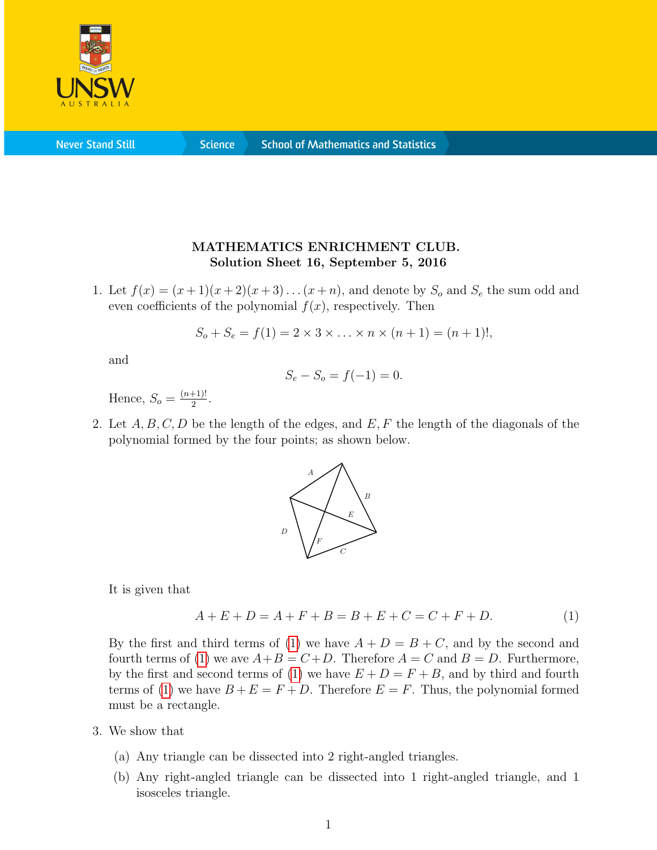

**Never Stand Still** 

**Science** 

## MATHEMATICS ENRICHMENT CLUB. Solution Sheet 16, September 5, 2016

1. Let  $f(x) = (x+1)(x+2)(x+3)...(x+n)$ , and denote by  $S<sub>o</sub>$  and  $S<sub>e</sub>$  the sum odd and even coefficients of the polynomial  $f(x)$ , respectively. Then

$$
S_o + S_e = f(1) = 2 \times 3 \times \ldots \times n \times (n+1) = (n+1)!,
$$

and

$$
S_e - S_o = f(-1) = 0.
$$

Hence,  $S_o = \frac{(n+1)!}{2}$  $\frac{+1)!}{2}$ .

2. Let  $A, B, C, D$  be the length of the edges, and  $E, F$  the length of the diagonals of the polynomial formed by the four points; as shown below.



It is given that

<span id="page-0-0"></span>
$$
A + E + D = A + F + B = B + E + C = C + F + D.
$$
 (1)

By the first and third terms of [\(1\)](#page-0-0) we have  $A + D = B + C$ , and by the second and fourth terms of [\(1\)](#page-0-0) we ave  $A+B=C+D$ . Therefore  $A=C$  and  $B=D$ . Furthermore, by the first and second terms of [\(1\)](#page-0-0) we have  $E + D = F + B$ , and by third and fourth terms of [\(1\)](#page-0-0) we have  $B + E = F + D$ . Therefore  $E = F$ . Thus, the polynomial formed must be a rectangle.

- 3. We show that
	- (a) Any triangle can be dissected into 2 right-angled triangles.
	- (b) Any right-angled triangle can be dissected into 1 right-angled triangle, and 1 isosceles triangle.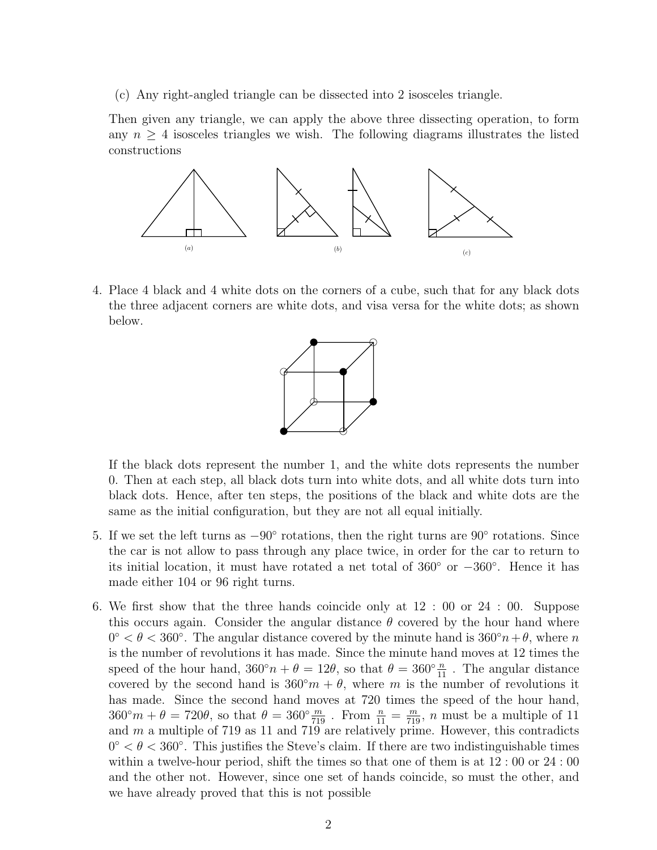(c) Any right-angled triangle can be dissected into 2 isosceles triangle.

Then given any triangle, we can apply the above three dissecting operation, to form any  $n \geq 4$  isosceles triangles we wish. The following diagrams illustrates the listed constructions



4. Place 4 black and 4 white dots on the corners of a cube, such that for any black dots the three adjacent corners are white dots, and visa versa for the white dots; as shown below.



If the black dots represent the number 1, and the white dots represents the number 0. Then at each step, all black dots turn into white dots, and all white dots turn into black dots. Hence, after ten steps, the positions of the black and white dots are the same as the initial configuration, but they are not all equal initially.

- 5. If we set the left turns as  $-90°$  rotations, then the right turns are 90° rotations. Since the car is not allow to pass through any place twice, in order for the car to return to its initial location, it must have rotated a net total of 360◦ or −360◦ . Hence it has made either 104 or 96 right turns.
- 6. We first show that the three hands coincide only at 12 : 00 or 24 : 00. Suppose this occurs again. Consider the angular distance  $\theta$  covered by the hour hand where  $0^{\circ} < \theta < 360^{\circ}$ . The angular distance covered by the minute hand is  $360^{\circ}n + \theta$ , where n is the number of revolutions it has made. Since the minute hand moves at 12 times the speed of the hour hand,  $360°n + \theta = 12\theta$ , so that  $\theta = 360°\frac{n}{11}$ . The angular distance covered by the second hand is  $360°m + \theta$ , where m is the number of revolutions it has made. Since the second hand moves at 720 times the speed of the hour hand,  $360°m + \theta = 720\theta$ , so that  $\theta = 360° \frac{m}{719}$ . From  $\frac{n}{11} = \frac{m}{719}$ , n must be a multiple of 11 and  $m$  a multiple of 719 as 11 and 719 are relatively prime. However, this contradicts  $0^{\circ} < \theta < 360^{\circ}$ . This justifies the Steve's claim. If there are two indistinguishable times within a twelve-hour period, shift the times so that one of them is at 12 : 00 or 24 : 00 and the other not. However, since one set of hands coincide, so must the other, and we have already proved that this is not possible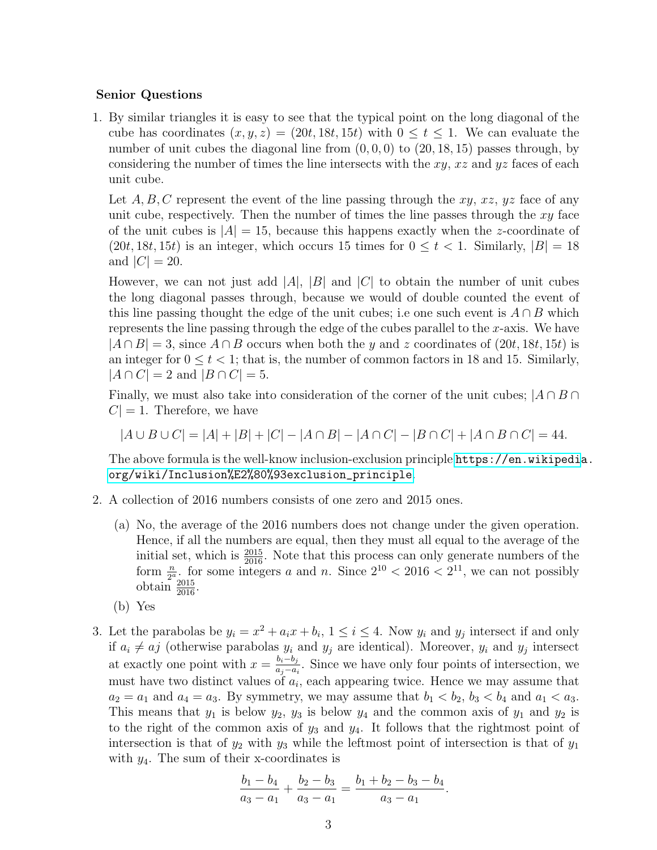## Senior Questions

1. By similar triangles it is easy to see that the typical point on the long diagonal of the cube has coordinates  $(x, y, z) = (20t, 18t, 15t)$  with  $0 \le t \le 1$ . We can evaluate the number of unit cubes the diagonal line from  $(0, 0, 0)$  to  $(20, 18, 15)$  passes through, by considering the number of times the line intersects with the  $xy$ ,  $xz$  and  $yz$  faces of each unit cube.

Let A, B, C represent the event of the line passing through the  $xy$ ,  $xz$ ,  $yz$  face of any unit cube, respectively. Then the number of times the line passes through the  $xy$  face of the unit cubes is  $|A| = 15$ , because this happens exactly when the *z*-coordinate of  $(20t, 18t, 15t)$  is an integer, which occurs 15 times for  $0 \le t < 1$ . Similarly,  $|B| = 18$ and  $|C| = 20$ .

However, we can not just add |A|, |B| and |C| to obtain the number of unit cubes the long diagonal passes through, because we would of double counted the event of this line passing thought the edge of the unit cubes; i.e one such event is  $A \cap B$  which represents the line passing through the edge of the cubes parallel to the  $x$ -axis. We have  $|A \cap B| = 3$ , since  $A \cap B$  occurs when both the y and z coordinates of  $(20t, 18t, 15t)$  is an integer for  $0 \le t < 1$ ; that is, the number of common factors in 18 and 15. Similarly,  $|A \cap C| = 2$  and  $|B \cap C| = 5$ .

Finally, we must also take into consideration of the corner of the unit cubes;  $|A \cap B \cap$  $C = 1$ . Therefore, we have

$$
|A \cup B \cup C| = |A| + |B| + |C| - |A \cap B| - |A \cap C| - |B \cap C| + |A \cap B \cap C| = 44.
$$

The above formula is the well-know inclusion-exclusion principle [https://en.wikipedi](https://en.wikipedia.org/wiki/Inclusion%E2%80%93exclusion_principle)a. [org/wiki/Inclusion%E2%80%93exclusion\\_principle](https://en.wikipedia.org/wiki/Inclusion%E2%80%93exclusion_principle).

- 2. A collection of 2016 numbers consists of one zero and 2015 ones.
	- (a) No, the average of the 2016 numbers does not change under the given operation. Hence, if all the numbers are equal, then they must all equal to the average of the initial set, which is  $\frac{2015}{2016}$ . Note that this process can only generate numbers of the form  $\frac{n}{2^a}$ , for some integers a and n. Since  $2^{10} < 2016 < 2^{11}$ , we can not possibly obtain  $\frac{2015}{2016}$ .
	- (b) Yes
- 3. Let the parabolas be  $y_i = x^2 + a_i x + b_i$ ,  $1 \le i \le 4$ . Now  $y_i$  and  $y_j$  intersect if and only if  $a_i \neq aj$  (otherwise parabolas  $y_i$  and  $y_j$  are identical). Moreover,  $y_i$  and  $y_j$  intersect at exactly one point with  $x = \frac{b_i - b_j}{a_i - a_j}$  $\frac{a_i - b_j}{a_j - a_i}$ . Since we have only four points of intersection, we must have two distinct values of  $a_i$ , each appearing twice. Hence we may assume that  $a_2 = a_1$  and  $a_4 = a_3$ . By symmetry, we may assume that  $b_1 < b_2$ ,  $b_3 < b_4$  and  $a_1 < a_3$ . This means that  $y_1$  is below  $y_2$ ,  $y_3$  is below  $y_4$  and the common axis of  $y_1$  and  $y_2$  is to the right of the common axis of  $y_3$  and  $y_4$ . It follows that the rightmost point of intersection is that of  $y_2$  with  $y_3$  while the leftmost point of intersection is that of  $y_1$ with  $y_4$ . The sum of their x-coordinates is

$$
\frac{b_1 - b_4}{a_3 - a_1} + \frac{b_2 - b_3}{a_3 - a_1} = \frac{b_1 + b_2 - b_3 - b_4}{a_3 - a_1}.
$$